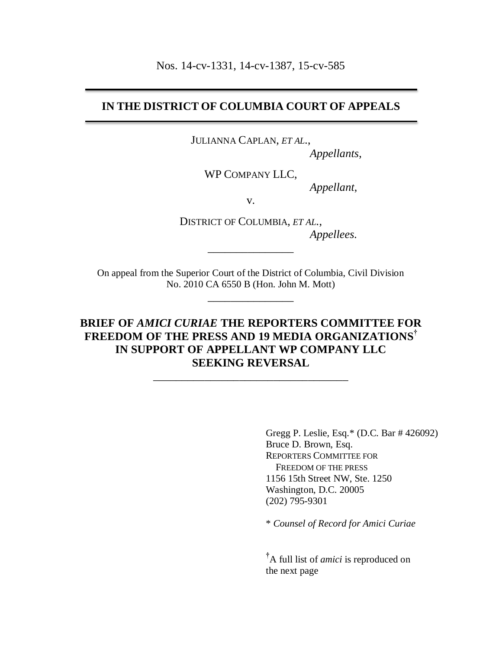Nos. 14-cv-1331, 14-cv-1387, 15-cv-585

# **IN THE DISTRICT OF COLUMBIA COURT OF APPEALS**

JULIANNA CAPLAN, *ET AL.*,

*Appellants*,

WP COMPANY LLC,

*Appellant*,

v.

DISTRICT OF COLUMBIA, *ET AL.*, *Appellees.*

On appeal from the Superior Court of the District of Columbia, Civil Division No. 2010 CA 6550 B (Hon. John M. Mott)

\_\_\_\_\_\_\_\_\_\_\_\_\_\_\_

\_\_\_\_\_\_\_\_\_\_\_\_\_\_\_

# **BRIEF OF** *AMICI CURIAE* **THE REPORTERS COMMITTEE FOR FREEDOM OF THE PRESS AND 19 MEDIA ORGANIZATIONS† IN SUPPORT OF APPELLANT WP COMPANY LLC SEEKING REVERSAL**

\_\_\_\_\_\_\_\_\_\_\_\_\_\_\_\_\_\_\_\_\_\_\_\_\_\_\_\_\_\_\_\_\_\_

Gregg P. Leslie, Esq.\* (D.C. Bar # 426092) Bruce D. Brown, Esq. REPORTERS COMMITTEE FOR FREEDOM OF THE PRESS 1156 15th Street NW, Ste. 1250 Washington, D.C. 20005 (202) 795-9301

\* *Counsel of Record for Amici Curiae*

**†**A full list of *amici* is reproduced on the next page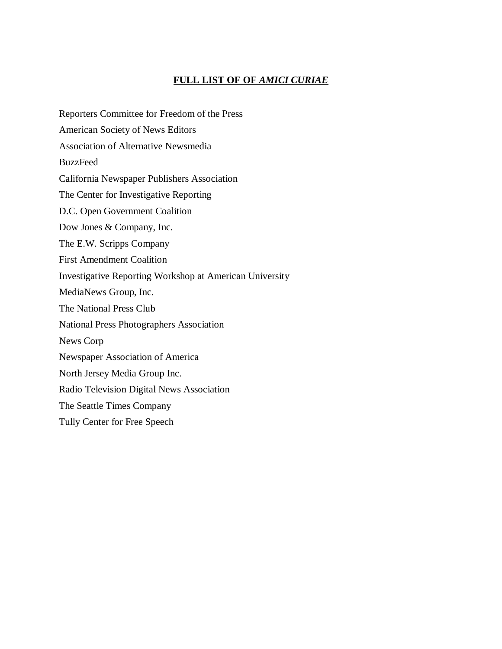# **FULL LIST OF OF** *AMICI CURIAE*

Reporters Committee for Freedom of the Press American Society of News Editors Association of Alternative Newsmedia BuzzFeed California Newspaper Publishers Association The Center for Investigative Reporting D.C. Open Government Coalition Dow Jones & Company, Inc. The E.W. Scripps Company First Amendment Coalition Investigative Reporting Workshop at American University MediaNews Group, Inc. The National Press Club National Press Photographers Association News Corp Newspaper Association of America North Jersey Media Group Inc. Radio Television Digital News Association The Seattle Times Company Tully Center for Free Speech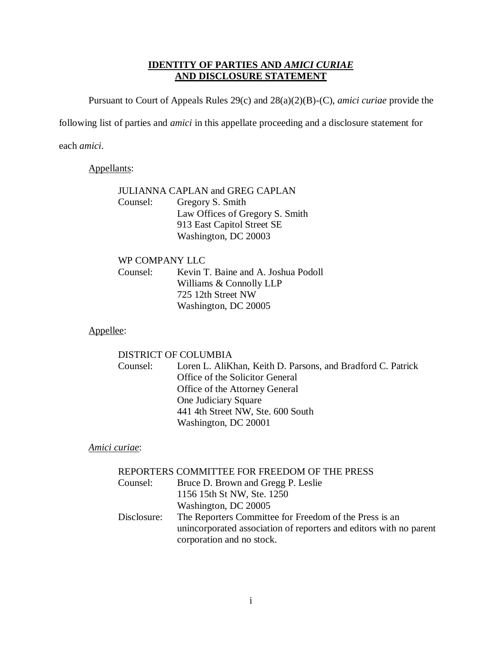## **IDENTITY OF PARTIES AND** *AMICI CURIAE* **AND DISCLOSURE STATEMENT**

<span id="page-2-0"></span>Pursuant to Court of Appeals Rules 29(c) and 28(a)(2)(B)-(C), *amici curiae* provide the

following list of parties and *amici* in this appellate proceeding and a disclosure statement for

each *amici*.

### Appellants:

# JULIANNA CAPLAN and GREG CAPLAN Counsel: Gregory S. Smith Law Offices of Gregory S. Smith 913 East Capitol Street SE Washington, DC 20003

### WP COMPANY LLC

Counsel: Kevin T. Baine and A. Joshua Podoll Williams & Connolly LLP 725 12th Street NW Washington, DC 20005

## Appellee:

#### DISTRICT OF COLUMBIA

Counsel: Loren L. AliKhan, Keith D. Parsons, and Bradford C. Patrick Office of the Solicitor General Office of the Attorney General One Judiciary Square 441 4th Street NW, Ste. 600 South Washington, DC 20001

### *Amici curiae*:

| REPORTERS COMMITTEE FOR FREEDOM OF THE PRESS                       |
|--------------------------------------------------------------------|
| Bruce D. Brown and Gregg P. Leslie                                 |
| 1156 15th St NW, Ste. 1250                                         |
| Washington, DC 20005                                               |
| The Reporters Committee for Freedom of the Press is an             |
| unincorporated association of reporters and editors with no parent |
| corporation and no stock.                                          |
|                                                                    |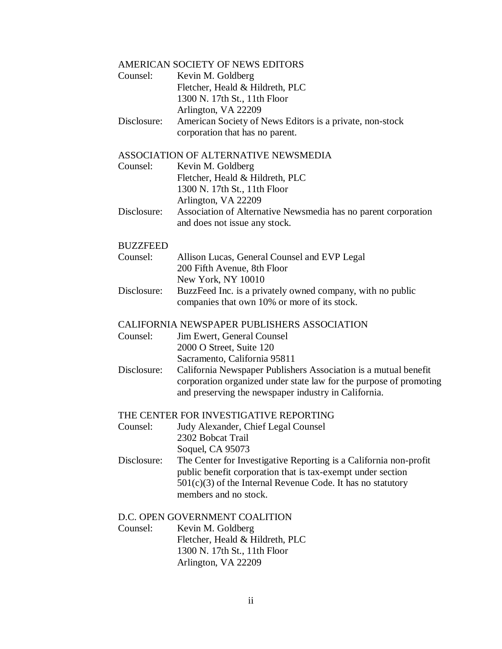# AMERICAN SOCIETY OF NEWS EDITORS

| Counsel:    | Kevin M. Goldberg                                        |
|-------------|----------------------------------------------------------|
|             | Fletcher, Heald & Hildreth, PLC                          |
|             | 1300 N. 17th St., 11th Floor                             |
|             | Arlington, VA 22209                                      |
| Disclosure: | American Society of News Editors is a private, non-stock |
|             | corporation that has no parent.                          |

## ASSOCIATION OF ALTERNATIVE NEWSMEDIA

| Counsel:    | Kevin M. Goldberg                                              |
|-------------|----------------------------------------------------------------|
|             | Fletcher, Heald & Hildreth, PLC                                |
|             | 1300 N. 17th St., 11th Floor                                   |
|             | Arlington, VA 22209                                            |
| Disclosure: | Association of Alternative Newsmedia has no parent corporation |
|             | and does not issue any stock.                                  |

#### BUZZFEED

| DV <i>LL</i> I LLD |                                                            |
|--------------------|------------------------------------------------------------|
| Counsel:           | Allison Lucas, General Counsel and EVP Legal               |
|                    | 200 Fifth Avenue, 8th Floor                                |
|                    | New York, NY 10010                                         |
| Disclosure:        | BuzzFeed Inc. is a privately owned company, with no public |
|                    | companies that own 10% or more of its stock.               |

#### CALIFORNIA NEWSPAPER PUBLISHERS ASSOCIATION

| Counsel: | Jim Ewert, General Counsel |
|----------|----------------------------|
|          | 2000 O Street, Suite 120   |

|             | Sacramento, California 95811                                       |
|-------------|--------------------------------------------------------------------|
| Disclosure: | California Newspaper Publishers Association is a mutual benefit    |
|             | corporation organized under state law for the purpose of promoting |
|             | and preserving the newspaper industry in California.               |

#### THE CENTER FOR INVESTIGATIVE REPORTING

- Counsel: Judy Alexander, Chief Legal Counsel 2302 Bobcat Trail Soquel, CA 95073
- Disclosure: The Center for Investigative Reporting is a California non-profit public benefit corporation that is tax-exempt under section 501(c)(3) of the Internal Revenue Code. It has no statutory members and no stock.

#### D.C. OPEN GOVERNMENT COALITION

Counsel: Kevin M. Goldberg Fletcher, Heald & Hildreth, PLC 1300 N. 17th St., 11th Floor Arlington, VA 22209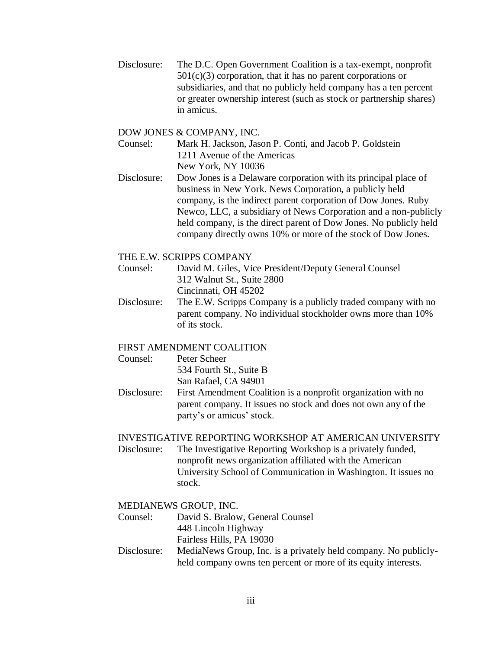Disclosure: The D.C. Open Government Coalition is a tax-exempt, nonprofit  $501(c)(3)$  corporation, that it has no parent corporations or subsidiaries, and that no publicly held company has a ten percent or greater ownership interest (such as stock or partnership shares) in amicus.

#### DOW JONES & COMPANY, INC.

- Counsel: Mark H. Jackson, Jason P. Conti, and Jacob P. Goldstein 1211 Avenue of the Americas New York, NY 10036
- Disclosure: Dow Jones is a Delaware corporation with its principal place of business in New York. News Corporation, a publicly held company, is the indirect parent corporation of Dow Jones. Ruby Newco, LLC, a subsidiary of News Corporation and a non-publicly held company, is the direct parent of Dow Jones. No publicly held company directly owns 10% or more of the stock of Dow Jones.

#### THE E.W. SCRIPPS COMPANY

- Counsel: David M. Giles, Vice President/Deputy General Counsel 312 Walnut St., Suite 2800 Cincinnati, OH 45202
- Disclosure: The E.W. Scripps Company is a publicly traded company with no parent company. No individual stockholder owns more than 10% of its stock.

## FIRST AMENDMENT COALITION

| Counsel: | Peter Scheer            |
|----------|-------------------------|
|          | 534 Fourth St., Suite B |
|          | San Rafael, CA 94901    |

Disclosure: First Amendment Coalition is a nonprofit organization with no parent company. It issues no stock and does not own any of the party's or amicus' stock.

#### INVESTIGATIVE REPORTING WORKSHOP AT AMERICAN UNIVERSITY

Disclosure: The Investigative Reporting Workshop is a privately funded, nonprofit news organization affiliated with the American University School of Communication in Washington. It issues no stock.

#### MEDIANEWS GROUP, INC.

- Counsel: David S. Bralow, General Counsel 448 Lincoln Highway Fairless Hills, PA 19030
- Disclosure: MediaNews Group, Inc. is a privately held company. No publiclyheld company owns ten percent or more of its equity interests.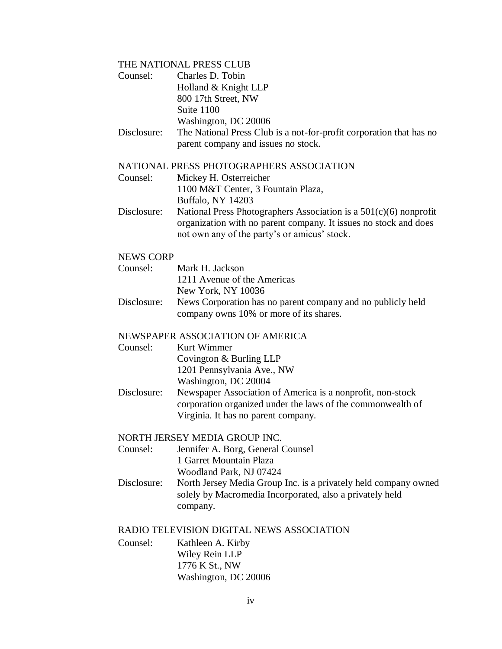## THE NATIONAL PRESS CLUB

| Counsel:         | Charles D. Tobin                                                                                                                                                                        |
|------------------|-----------------------------------------------------------------------------------------------------------------------------------------------------------------------------------------|
|                  | Holland & Knight LLP                                                                                                                                                                    |
|                  | 800 17th Street, NW                                                                                                                                                                     |
|                  | Suite 1100                                                                                                                                                                              |
|                  | Washington, DC 20006                                                                                                                                                                    |
| Disclosure:      | The National Press Club is a not-for-profit corporation that has no                                                                                                                     |
|                  | parent company and issues no stock.                                                                                                                                                     |
|                  | NATIONAL PRESS PHOTOGRAPHERS ASSOCIATION                                                                                                                                                |
| Counsel:         | Mickey H. Osterreicher                                                                                                                                                                  |
|                  | 1100 M&T Center, 3 Fountain Plaza,                                                                                                                                                      |
|                  | Buffalo, NY 14203                                                                                                                                                                       |
| Disclosure:      | National Press Photographers Association is a $501(c)(6)$ nonprofit<br>organization with no parent company. It issues no stock and does<br>not own any of the party's or amicus' stock. |
| <b>NEWS CORP</b> |                                                                                                                                                                                         |

# Counsel: Mark H. Jackson 1211 Avenue of the Americas New York, NY 10036

Disclosure: News Corporation has no parent company and no publicly held company owns 10% or more of its shares.

# NEWSPAPER ASSOCIATION OF AMERICA

Counsel: Kurt Wimmer

Covington & Burling LLP

1201 Pennsylvania Ave., NW

Washington, DC 20004

Disclosure: Newspaper Association of America is a nonprofit, non-stock corporation organized under the laws of the commonwealth of Virginia. It has no parent company.

## NORTH JERSEY MEDIA GROUP INC.

Counsel: Jennifer A. Borg, General Counsel 1 Garret Mountain Plaza Woodland Park, NJ 07424

Disclosure: North Jersey Media Group Inc. is a privately held company owned solely by Macromedia Incorporated, also a privately held company.

### RADIO TELEVISION DIGITAL NEWS ASSOCIATION

Counsel: Kathleen A. Kirby Wiley Rein LLP 1776 K St., NW Washington, DC 20006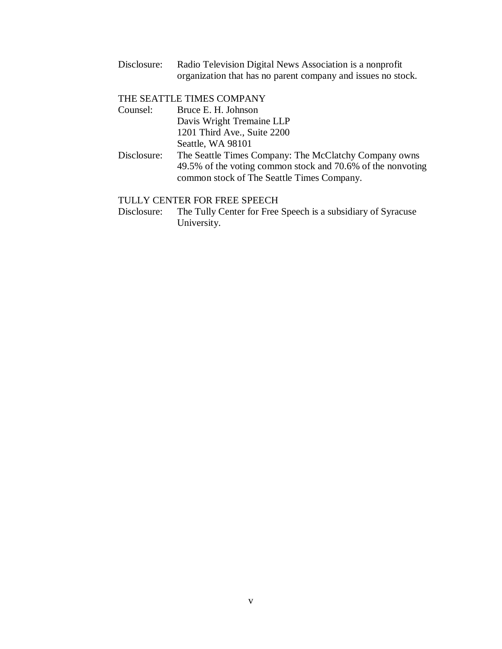Disclosure: Radio Television Digital News Association is a nonprofit organization that has no parent company and issues no stock.

### THE SEATTLE TIMES COMPANY

| Counsel: | Bruce E. H. Johnson         |
|----------|-----------------------------|
|          | Davis Wright Tremaine LLP   |
|          | 1201 Third Ave., Suite 2200 |
|          | Seattle, WA 98101           |

Disclosure: The Seattle Times Company: The McClatchy Company owns 49.5% of the voting common stock and 70.6% of the nonvoting common stock of The Seattle Times Company.

## TULLY CENTER FOR FREE SPEECH

Disclosure: The Tully Center for Free Speech is a subsidiary of Syracuse University.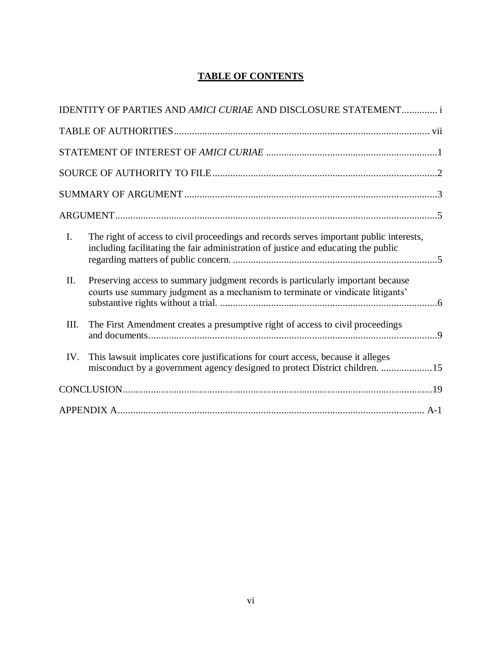# **TABLE OF CONTENTS**

|      | IDENTITY OF PARTIES AND AMICI CURIAE AND DISCLOSURE STATEMENT i                                                                                                               |
|------|-------------------------------------------------------------------------------------------------------------------------------------------------------------------------------|
|      |                                                                                                                                                                               |
|      |                                                                                                                                                                               |
|      |                                                                                                                                                                               |
|      |                                                                                                                                                                               |
|      |                                                                                                                                                                               |
| I.   | The right of access to civil proceedings and records serves important public interests,<br>including facilitating the fair administration of justice and educating the public |
| П.   | Preserving access to summary judgment records is particularly important because<br>courts use summary judgment as a mechanism to terminate or vindicate litigants'            |
| III. | The First Amendment creates a presumptive right of access to civil proceedings                                                                                                |
| IV.  | This lawsuit implicates core justifications for court access, because it alleges<br>misconduct by a government agency designed to protect District children. 15               |
|      |                                                                                                                                                                               |
|      |                                                                                                                                                                               |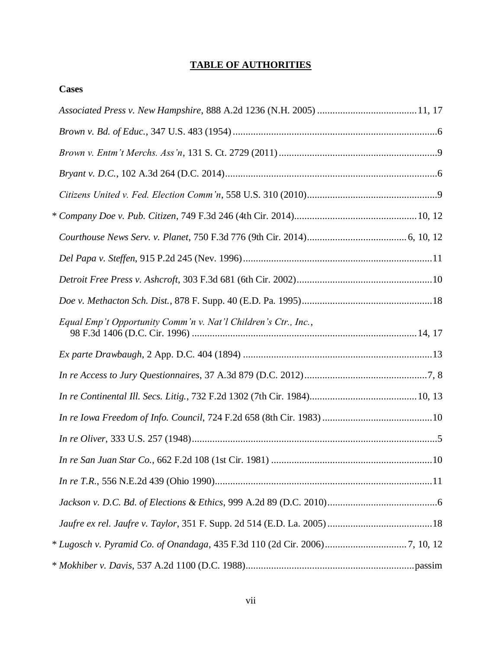# **TABLE OF AUTHORITIES**

<span id="page-8-0"></span>

| <b>Cases</b>                                                   |  |
|----------------------------------------------------------------|--|
|                                                                |  |
|                                                                |  |
|                                                                |  |
|                                                                |  |
|                                                                |  |
|                                                                |  |
|                                                                |  |
|                                                                |  |
|                                                                |  |
|                                                                |  |
| Equal Emp't Opportunity Comm'n v. Nat'l Children's Ctr., Inc., |  |
|                                                                |  |
|                                                                |  |
|                                                                |  |
|                                                                |  |
|                                                                |  |
|                                                                |  |
|                                                                |  |
|                                                                |  |
|                                                                |  |
|                                                                |  |
|                                                                |  |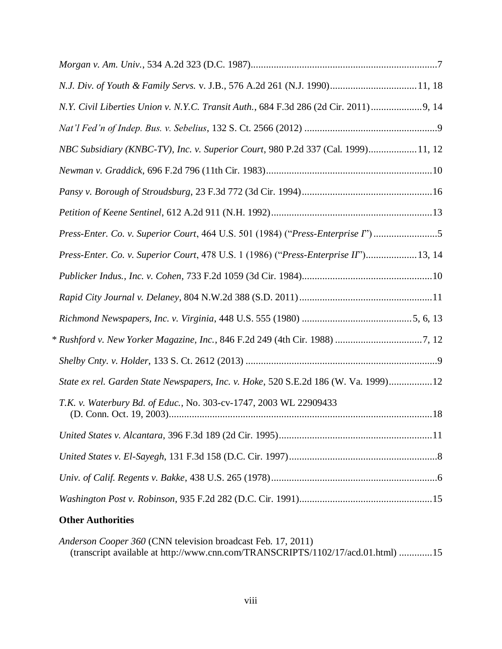| N.J. Div. of Youth & Family Servs. v. J.B., 576 A.2d 261 (N.J. 1990) 11, 18            |  |
|----------------------------------------------------------------------------------------|--|
| N.Y. Civil Liberties Union v. N.Y.C. Transit Auth., 684 F.3d 286 (2d Cir. 2011)  9, 14 |  |
|                                                                                        |  |
| NBC Subsidiary (KNBC-TV), Inc. v. Superior Court, 980 P.2d 337 (Cal. 1999) 11, 12      |  |
|                                                                                        |  |
|                                                                                        |  |
|                                                                                        |  |
| Press-Enter. Co. v. Superior Court, 464 U.S. 501 (1984) ("Press-Enterprise I")5        |  |
| Press-Enter. Co. v. Superior Court, 478 U.S. 1 (1986) ("Press-Enterprise II")13, 14    |  |
|                                                                                        |  |
|                                                                                        |  |
|                                                                                        |  |
|                                                                                        |  |
|                                                                                        |  |
| State ex rel. Garden State Newspapers, Inc. v. Hoke, 520 S.E.2d 186 (W. Va. 1999)12    |  |
| T.K. v. Waterbury Bd. of Educ., No. 303-cv-1747, 2003 WL 22909433                      |  |
|                                                                                        |  |
|                                                                                        |  |
|                                                                                        |  |
|                                                                                        |  |
|                                                                                        |  |

# **Other Authorities**

*Anderson Cooper 360* (CNN television broadcast Feb. 17, 2011) (transcript available at http://www.cnn.com/TRANSCRIPTS/1102/17/acd.01.html) .............15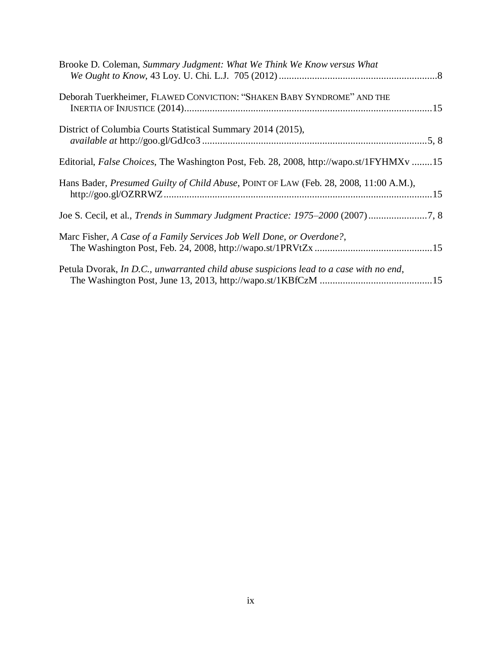| Brooke D. Coleman, Summary Judgment: What We Think We Know versus What                  |
|-----------------------------------------------------------------------------------------|
| Deborah Tuerkheimer, FLAWED CONVICTION: "SHAKEN BABY SYNDROME" AND THE                  |
| District of Columbia Courts Statistical Summary 2014 (2015),                            |
| Editorial, False Choices, The Washington Post, Feb. 28, 2008, http://wapo.st/1FYHMXv 15 |
| Hans Bader, Presumed Guilty of Child Abuse, POINT OF LAW (Feb. 28, 2008, 11:00 A.M.),   |
| Joe S. Cecil, et al., Trends in Summary Judgment Practice: 1975-2000 (2007)7, 8         |
| Marc Fisher, A Case of a Family Services Job Well Done, or Overdone?,                   |
| Petula Dvorak, In D.C., unwarranted child abuse suspicions lead to a case with no end,  |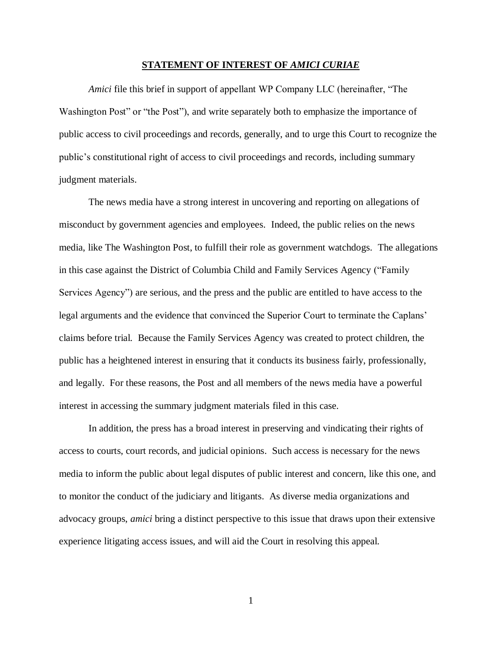#### **STATEMENT OF INTEREST OF** *AMICI CURIAE*

<span id="page-11-0"></span>*Amici* file this brief in support of appellant WP Company LLC (hereinafter, "The Washington Post" or "the Post"), and write separately both to emphasize the importance of public access to civil proceedings and records, generally, and to urge this Court to recognize the public's constitutional right of access to civil proceedings and records, including summary judgment materials.

The news media have a strong interest in uncovering and reporting on allegations of misconduct by government agencies and employees. Indeed, the public relies on the news media, like The Washington Post, to fulfill their role as government watchdogs. The allegations in this case against the District of Columbia Child and Family Services Agency ("Family Services Agency") are serious, and the press and the public are entitled to have access to the legal arguments and the evidence that convinced the Superior Court to terminate the Caplans' claims before trial. Because the Family Services Agency was created to protect children, the public has a heightened interest in ensuring that it conducts its business fairly, professionally, and legally. For these reasons, the Post and all members of the news media have a powerful interest in accessing the summary judgment materials filed in this case.

In addition, the press has a broad interest in preserving and vindicating their rights of access to courts, court records, and judicial opinions. Such access is necessary for the news media to inform the public about legal disputes of public interest and concern, like this one, and to monitor the conduct of the judiciary and litigants. As diverse media organizations and advocacy groups, *amici* bring a distinct perspective to this issue that draws upon their extensive experience litigating access issues, and will aid the Court in resolving this appeal.

1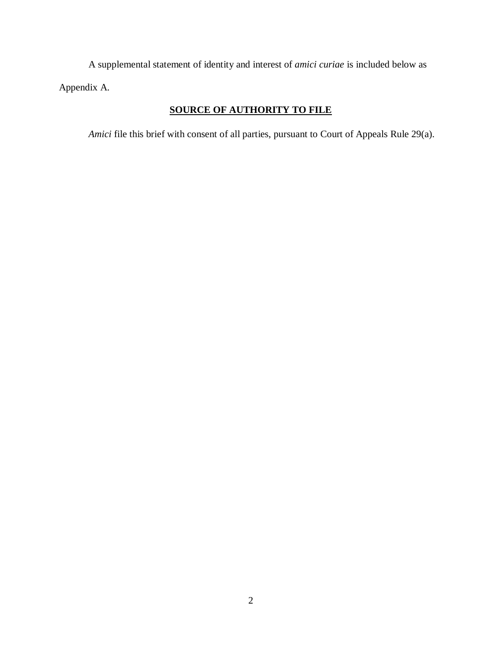A supplemental statement of identity and interest of *amici curiae* is included below as Appendix A.

# **SOURCE OF AUTHORITY TO FILE**

<span id="page-12-0"></span>*Amici* file this brief with consent of all parties, pursuant to Court of Appeals Rule 29(a).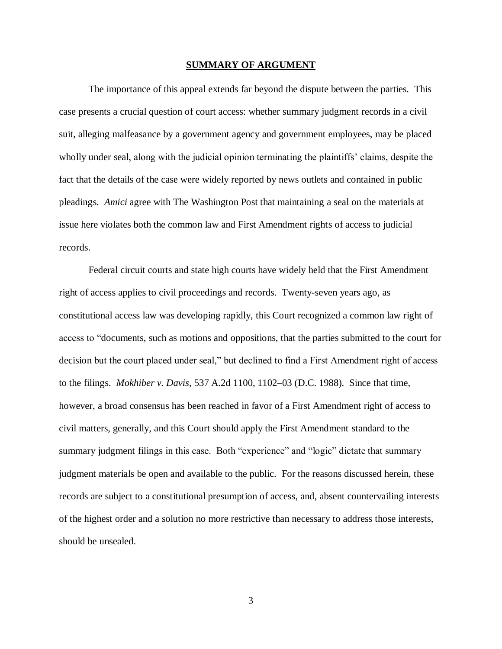#### **SUMMARY OF ARGUMENT**

<span id="page-13-0"></span>The importance of this appeal extends far beyond the dispute between the parties. This case presents a crucial question of court access: whether summary judgment records in a civil suit, alleging malfeasance by a government agency and government employees, may be placed wholly under seal, along with the judicial opinion terminating the plaintiffs' claims, despite the fact that the details of the case were widely reported by news outlets and contained in public pleadings. *Amici* agree with The Washington Post that maintaining a seal on the materials at issue here violates both the common law and First Amendment rights of access to judicial records.

Federal circuit courts and state high courts have widely held that the First Amendment right of access applies to civil proceedings and records. Twenty-seven years ago, as constitutional access law was developing rapidly, this Court recognized a common law right of access to "documents, such as motions and oppositions, that the parties submitted to the court for decision but the court placed under seal," but declined to find a First Amendment right of access to the filings. *Mokhiber v. Davis*, 537 A.2d 1100, 1102–03 (D.C. 1988). Since that time, however, a broad consensus has been reached in favor of a First Amendment right of access to civil matters, generally, and this Court should apply the First Amendment standard to the summary judgment filings in this case. Both "experience" and "logic" dictate that summary judgment materials be open and available to the public. For the reasons discussed herein, these records are subject to a constitutional presumption of access, and, absent countervailing interests of the highest order and a solution no more restrictive than necessary to address those interests, should be unsealed.

3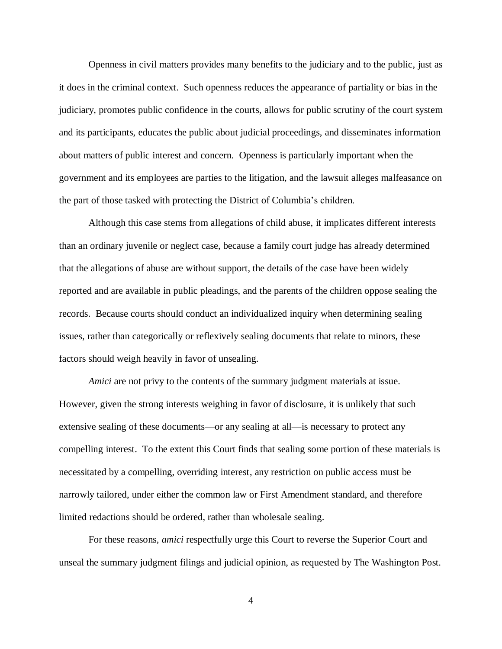Openness in civil matters provides many benefits to the judiciary and to the public, just as it does in the criminal context. Such openness reduces the appearance of partiality or bias in the judiciary, promotes public confidence in the courts, allows for public scrutiny of the court system and its participants, educates the public about judicial proceedings, and disseminates information about matters of public interest and concern. Openness is particularly important when the government and its employees are parties to the litigation, and the lawsuit alleges malfeasance on the part of those tasked with protecting the District of Columbia's children.

Although this case stems from allegations of child abuse, it implicates different interests than an ordinary juvenile or neglect case, because a family court judge has already determined that the allegations of abuse are without support, the details of the case have been widely reported and are available in public pleadings, and the parents of the children oppose sealing the records. Because courts should conduct an individualized inquiry when determining sealing issues, rather than categorically or reflexively sealing documents that relate to minors, these factors should weigh heavily in favor of unsealing.

*Amici* are not privy to the contents of the summary judgment materials at issue. However, given the strong interests weighing in favor of disclosure, it is unlikely that such extensive sealing of these documents—or any sealing at all—is necessary to protect any compelling interest. To the extent this Court finds that sealing some portion of these materials is necessitated by a compelling, overriding interest, any restriction on public access must be narrowly tailored, under either the common law or First Amendment standard, and therefore limited redactions should be ordered, rather than wholesale sealing.

For these reasons, *amici* respectfully urge this Court to reverse the Superior Court and unseal the summary judgment filings and judicial opinion, as requested by The Washington Post.

4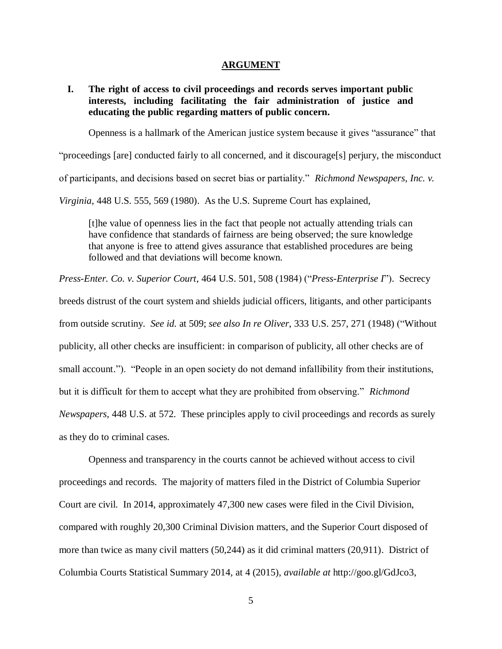#### **ARGUMENT**

<span id="page-15-1"></span><span id="page-15-0"></span>**I. The right of access to civil proceedings and records serves important public interests, including facilitating the fair administration of justice and educating the public regarding matters of public concern.**

Openness is a hallmark of the American justice system because it gives "assurance" that

"proceedings [are] conducted fairly to all concerned, and it discourage[s] perjury, the misconduct

of participants, and decisions based on secret bias or partiality." *Richmond Newspapers, Inc. v.* 

*Virginia*, 448 U.S. 555, 569 (1980). As the U.S. Supreme Court has explained,

[t]he value of openness lies in the fact that people not actually attending trials can have confidence that standards of fairness are being observed; the sure knowledge that anyone is free to attend gives assurance that established procedures are being followed and that deviations will become known.

*Press-Enter. Co. v. Superior Court*, 464 U.S. 501, 508 (1984) ("*Press-Enterprise I*"). Secrecy breeds distrust of the court system and shields judicial officers, litigants, and other participants from outside scrutiny. *See id.* at 509; *see also In re Oliver*, 333 U.S. 257, 271 (1948) ("Without publicity, all other checks are insufficient: in comparison of publicity, all other checks are of small account."). "People in an open society do not demand infallibility from their institutions, but it is difficult for them to accept what they are prohibited from observing." *Richmond Newspapers*, 448 U.S. at 572. These principles apply to civil proceedings and records as surely as they do to criminal cases.

Openness and transparency in the courts cannot be achieved without access to civil proceedings and records. The majority of matters filed in the District of Columbia Superior Court are civil. In 2014, approximately 47,300 new cases were filed in the Civil Division, compared with roughly 20,300 Criminal Division matters, and the Superior Court disposed of more than twice as many civil matters (50,244) as it did criminal matters (20,911). District of Columbia Courts Statistical Summary 2014, at 4 (2015), *available at* http://goo.gl/GdJco3,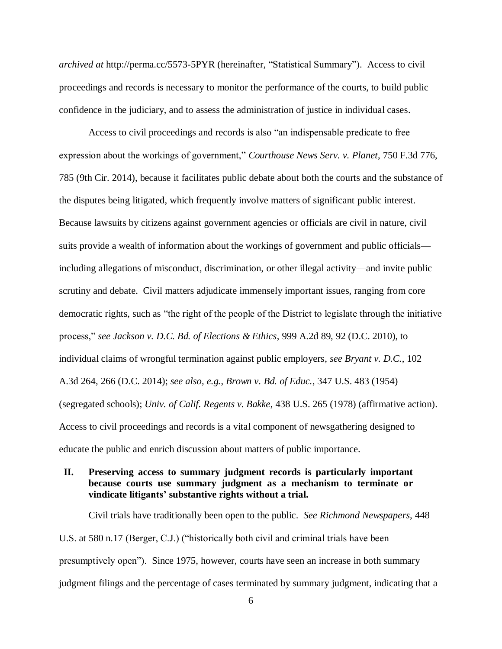*archived at* http://perma.cc/5573-5PYR (hereinafter, "Statistical Summary"). Access to civil proceedings and records is necessary to monitor the performance of the courts, to build public confidence in the judiciary, and to assess the administration of justice in individual cases.

Access to civil proceedings and records is also "an indispensable predicate to free expression about the workings of government," *Courthouse News Serv. v. Planet*, 750 F.3d 776, 785 (9th Cir. 2014), because it facilitates public debate about both the courts and the substance of the disputes being litigated, which frequently involve matters of significant public interest. Because lawsuits by citizens against government agencies or officials are civil in nature, civil suits provide a wealth of information about the workings of government and public officials including allegations of misconduct, discrimination, or other illegal activity—and invite public scrutiny and debate. Civil matters adjudicate immensely important issues, ranging from core democratic rights, such as "the right of the people of the District to legislate through the initiative process," *see Jackson v. D.C. Bd. of Elections & Ethics*, 999 A.2d 89, 92 (D.C. 2010), to individual claims of wrongful termination against public employers, *see Bryant v. D.C.*, 102 A.3d 264, 266 (D.C. 2014); *see also, e.g.*, *Brown v. Bd. of Educ.*, 347 U.S. 483 (1954) (segregated schools); *Univ. of Calif. Regents v. Bakke*, 438 U.S. 265 (1978) (affirmative action). Access to civil proceedings and records is a vital component of newsgathering designed to educate the public and enrich discussion about matters of public importance.

# <span id="page-16-0"></span>**II. Preserving access to summary judgment records is particularly important because courts use summary judgment as a mechanism to terminate or vindicate litigants' substantive rights without a trial.**

Civil trials have traditionally been open to the public. *See Richmond Newspapers*, 448 U.S. at 580 n.17 (Berger, C.J.) ("historically both civil and criminal trials have been presumptively open"). Since 1975, however, courts have seen an increase in both summary judgment filings and the percentage of cases terminated by summary judgment, indicating that a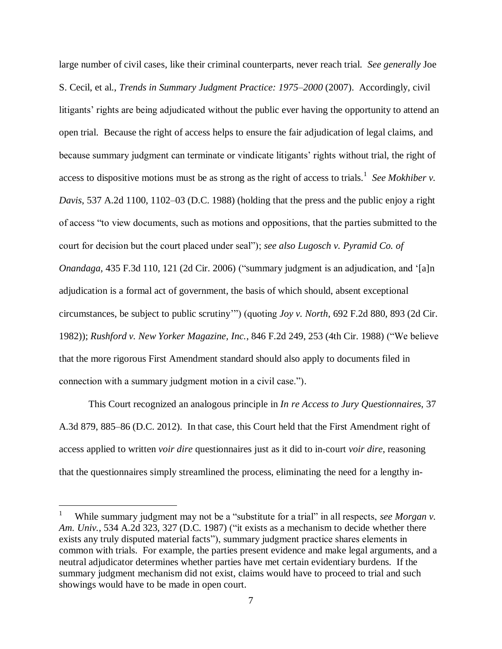large number of civil cases, like their criminal counterparts, never reach trial. *See generally* Joe S. Cecil, et al., *Trends in Summary Judgment Practice: 1975–2000* (2007). Accordingly, civil litigants' rights are being adjudicated without the public ever having the opportunity to attend an open trial. Because the right of access helps to ensure the fair adjudication of legal claims, and because summary judgment can terminate or vindicate litigants' rights without trial, the right of access to dispositive motions must be as strong as the right of access to trials.<sup>1</sup> See Mokhiber *v*. *Davis*, 537 A.2d 1100, 1102–03 (D.C. 1988) (holding that the press and the public enjoy a right of access "to view documents, such as motions and oppositions, that the parties submitted to the court for decision but the court placed under seal"); *see also Lugosch v. Pyramid Co. of Onandaga*, 435 F.3d 110, 121 (2d Cir. 2006) ("summary judgment is an adjudication, and '[a]n adjudication is a formal act of government, the basis of which should, absent exceptional circumstances, be subject to public scrutiny'") (quoting *Joy v. North*, 692 F.2d 880, 893 (2d Cir. 1982)); *Rushford v. New Yorker Magazine, Inc.*, 846 F.2d 249, 253 (4th Cir. 1988) ("We believe that the more rigorous First Amendment standard should also apply to documents filed in connection with a summary judgment motion in a civil case.").

This Court recognized an analogous principle in *In re Access to Jury Questionnaires*, 37 A.3d 879, 885–86 (D.C. 2012). In that case, this Court held that the First Amendment right of access applied to written *voir dire* questionnaires just as it did to in-court *voir dire*, reasoning that the questionnaires simply streamlined the process, eliminating the need for a lengthy in-

 $\overline{a}$ 

<sup>1</sup> While summary judgment may not be a "substitute for a trial" in all respects, *see Morgan v*. *Am. Univ.*, 534 A.2d 323, 327 (D.C. 1987) ("it exists as a mechanism to decide whether there exists any truly disputed material facts"), summary judgment practice shares elements in common with trials. For example, the parties present evidence and make legal arguments, and a neutral adjudicator determines whether parties have met certain evidentiary burdens. If the summary judgment mechanism did not exist, claims would have to proceed to trial and such showings would have to be made in open court.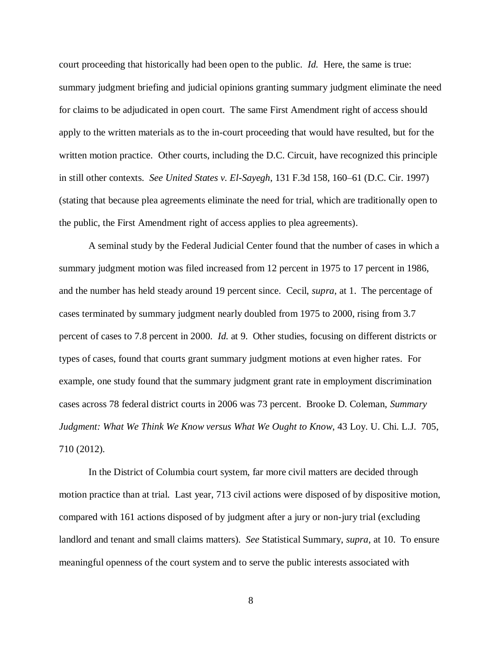court proceeding that historically had been open to the public. *Id.* Here, the same is true: summary judgment briefing and judicial opinions granting summary judgment eliminate the need for claims to be adjudicated in open court. The same First Amendment right of access should apply to the written materials as to the in-court proceeding that would have resulted, but for the written motion practice. Other courts, including the D.C. Circuit, have recognized this principle in still other contexts. *See United States v. El-Sayegh*, 131 F.3d 158, 160–61 (D.C. Cir. 1997) (stating that because plea agreements eliminate the need for trial, which are traditionally open to the public, the First Amendment right of access applies to plea agreements).

A seminal study by the Federal Judicial Center found that the number of cases in which a summary judgment motion was filed increased from 12 percent in 1975 to 17 percent in 1986, and the number has held steady around 19 percent since. Cecil, *supra*, at 1. The percentage of cases terminated by summary judgment nearly doubled from 1975 to 2000, rising from 3.7 percent of cases to 7.8 percent in 2000. *Id.* at 9. Other studies, focusing on different districts or types of cases, found that courts grant summary judgment motions at even higher rates. For example, one study found that the summary judgment grant rate in employment discrimination cases across 78 federal district courts in 2006 was 73 percent. Brooke D. Coleman, *Summary Judgment: What We Think We Know versus What We Ought to Know*, 43 Loy. U. Chi. L.J. 705, 710 (2012).

In the District of Columbia court system, far more civil matters are decided through motion practice than at trial. Last year, 713 civil actions were disposed of by dispositive motion, compared with 161 actions disposed of by judgment after a jury or non-jury trial (excluding landlord and tenant and small claims matters). *See* Statistical Summary, *supra*, at 10. To ensure meaningful openness of the court system and to serve the public interests associated with

8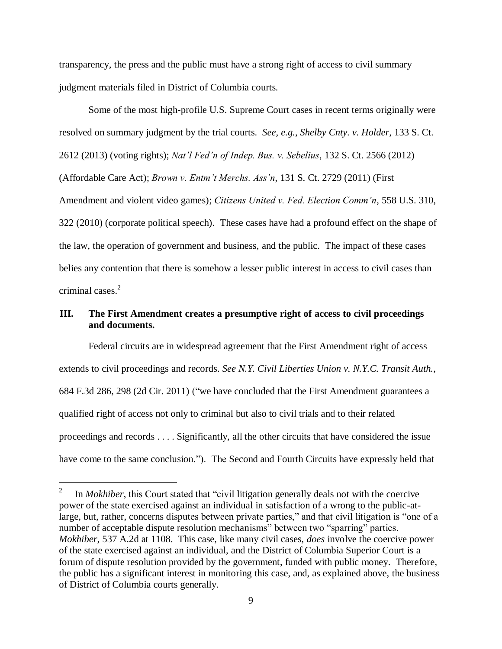transparency, the press and the public must have a strong right of access to civil summary judgment materials filed in District of Columbia courts.

Some of the most high-profile U.S. Supreme Court cases in recent terms originally were resolved on summary judgment by the trial courts. *See, e.g.*, *Shelby Cnty. v. Holder*, 133 S. Ct. 2612 (2013) (voting rights); *Nat'l Fed'n of Indep. Bus. v. Sebelius*, 132 S. Ct. 2566 (2012) (Affordable Care Act); *Brown v. Entm't Merchs. Ass'n*, 131 S. Ct. 2729 (2011) (First Amendment and violent video games); *Citizens United v. Fed. Election Comm'n*, 558 U.S. 310, 322 (2010) (corporate political speech). These cases have had a profound effect on the shape of the law, the operation of government and business, and the public. The impact of these cases belies any contention that there is somehow a lesser public interest in access to civil cases than criminal cases. 2

# <span id="page-19-0"></span>**III. The First Amendment creates a presumptive right of access to civil proceedings and documents.**

Federal circuits are in widespread agreement that the First Amendment right of access extends to civil proceedings and records. *See N.Y. Civil Liberties Union v. N.Y.C. Transit Auth.*, 684 F.3d 286, 298 (2d Cir. 2011) ("we have concluded that the First Amendment guarantees a qualified right of access not only to criminal but also to civil trials and to their related proceedings and records . . . . Significantly, all the other circuits that have considered the issue have come to the same conclusion."). The Second and Fourth Circuits have expressly held that

 $\overline{a}$ 

<sup>2</sup> In *Mokhiber*, this Court stated that "civil litigation generally deals not with the coercive power of the state exercised against an individual in satisfaction of a wrong to the public-atlarge, but, rather, concerns disputes between private parties," and that civil litigation is "one of a number of acceptable dispute resolution mechanisms" between two "sparring" parties. *Mokhiber*, 537 A.2d at 1108. This case, like many civil cases, *does* involve the coercive power of the state exercised against an individual, and the District of Columbia Superior Court is a forum of dispute resolution provided by the government, funded with public money. Therefore, the public has a significant interest in monitoring this case, and, as explained above, the business of District of Columbia courts generally.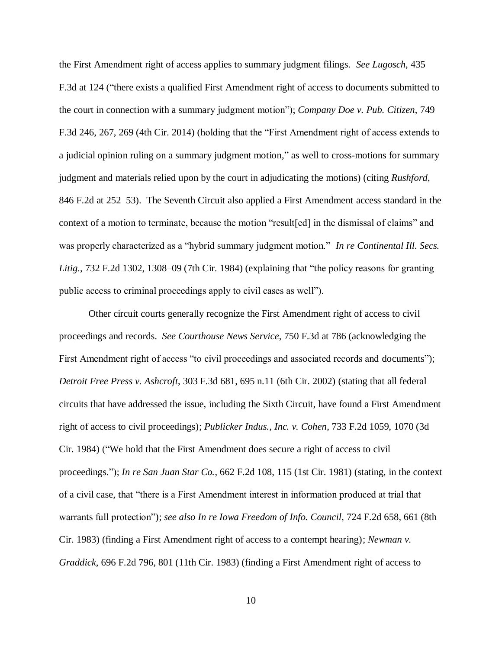the First Amendment right of access applies to summary judgment filings. *See Lugosch*, 435 F.3d at 124 ("there exists a qualified First Amendment right of access to documents submitted to the court in connection with a summary judgment motion"); *Company Doe v. Pub. Citizen*, 749 F.3d 246, 267, 269 (4th Cir. 2014) (holding that the "First Amendment right of access extends to a judicial opinion ruling on a summary judgment motion," as well to cross-motions for summary judgment and materials relied upon by the court in adjudicating the motions) (citing *Rushford*, 846 F.2d at 252–53). The Seventh Circuit also applied a First Amendment access standard in the context of a motion to terminate, because the motion "result[ed] in the dismissal of claims" and was properly characterized as a "hybrid summary judgment motion." *In re Continental Ill. Secs. Litig.*, 732 F.2d 1302, 1308–09 (7th Cir. 1984) (explaining that "the policy reasons for granting public access to criminal proceedings apply to civil cases as well").

Other circuit courts generally recognize the First Amendment right of access to civil proceedings and records. *See Courthouse News Service*, 750 F.3d at 786 (acknowledging the First Amendment right of access "to civil proceedings and associated records and documents"); *Detroit Free Press v. Ashcroft*, 303 F.3d 681, 695 n.11 (6th Cir. 2002) (stating that all federal circuits that have addressed the issue, including the Sixth Circuit, have found a First Amendment right of access to civil proceedings); *Publicker Indus., Inc. v. Cohen*, 733 F.2d 1059, 1070 (3d Cir. 1984) ("We hold that the First Amendment does secure a right of access to civil proceedings."); *In re San Juan Star Co.*, 662 F.2d 108, 115 (1st Cir. 1981) (stating, in the context of a civil case, that "there is a First Amendment interest in information produced at trial that warrants full protection"); *see also In re Iowa Freedom of Info. Council*, 724 F.2d 658, 661 (8th Cir. 1983) (finding a First Amendment right of access to a contempt hearing); *Newman v. Graddick*, 696 F.2d 796, 801 (11th Cir. 1983) (finding a First Amendment right of access to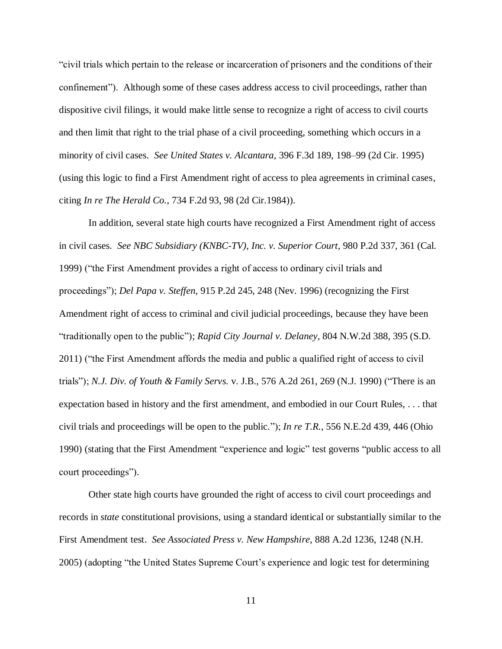"civil trials which pertain to the release or incarceration of prisoners and the conditions of their confinement"). Although some of these cases address access to civil proceedings, rather than dispositive civil filings, it would make little sense to recognize a right of access to civil courts and then limit that right to the trial phase of a civil proceeding, something which occurs in a minority of civil cases. *See United States v. Alcantara*, 396 F.3d 189, 198–99 (2d Cir. 1995) (using this logic to find a First Amendment right of access to plea agreements in criminal cases, citing *In re The Herald Co.*, 734 F.2d 93, 98 (2d Cir.1984)).

In addition, several state high courts have recognized a First Amendment right of access in civil cases. *See NBC Subsidiary (KNBC-TV), Inc. v. Superior Court*, 980 P.2d 337, 361 (Cal. 1999) ("the First Amendment provides a right of access to ordinary civil trials and proceedings"); *Del Papa v. Steffen*, 915 P.2d 245, 248 (Nev. 1996) (recognizing the First Amendment right of access to criminal and civil judicial proceedings, because they have been "traditionally open to the public"); *Rapid City Journal v. Delaney*, 804 N.W.2d 388, 395 (S.D. 2011) ("the First Amendment affords the media and public a qualified right of access to civil trials"); *N.J. Div. of Youth & Family Servs.* v. J.B., 576 A.2d 261, 269 (N.J. 1990) ("There is an expectation based in history and the first amendment, and embodied in our Court Rules, . . . that civil trials and proceedings will be open to the public."); *In re T.R.*, 556 N.E.2d 439, 446 (Ohio 1990) (stating that the First Amendment "experience and logic" test governs "public access to all court proceedings").

Other state high courts have grounded the right of access to civil court proceedings and records in *state* constitutional provisions, using a standard identical or substantially similar to the First Amendment test. *See Associated Press v. New Hampshire*, 888 A.2d 1236, 1248 (N.H. 2005) (adopting "the United States Supreme Court's experience and logic test for determining

11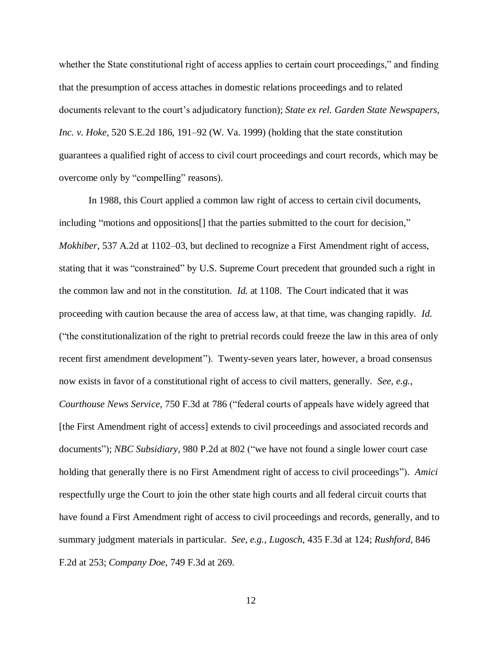whether the State constitutional right of access applies to certain court proceedings," and finding that the presumption of access attaches in domestic relations proceedings and to related documents relevant to the court's adjudicatory function); *State ex rel. Garden State Newspapers, Inc. v. Hoke*, 520 S.E.2d 186, 191–92 (W. Va. 1999) (holding that the state constitution guarantees a qualified right of access to civil court proceedings and court records, which may be overcome only by "compelling" reasons).

In 1988, this Court applied a common law right of access to certain civil documents, including "motions and oppositions[] that the parties submitted to the court for decision," *Mokhiber*, 537 A.2d at 1102–03, but declined to recognize a First Amendment right of access, stating that it was "constrained" by U.S. Supreme Court precedent that grounded such a right in the common law and not in the constitution. *Id.* at 1108. The Court indicated that it was proceeding with caution because the area of access law, at that time, was changing rapidly. *Id.* ("the constitutionalization of the right to pretrial records could freeze the law in this area of only recent first amendment development"). Twenty-seven years later, however, a broad consensus now exists in favor of a constitutional right of access to civil matters, generally. *See, e.g.*, *Courthouse News Service*, 750 F.3d at 786 ("federal courts of appeals have widely agreed that [the First Amendment right of access] extends to civil proceedings and associated records and documents"); *NBC Subsidiary*, 980 P.2d at 802 ("we have not found a single lower court case holding that generally there is no First Amendment right of access to civil proceedings"). *Amici* respectfully urge the Court to join the other state high courts and all federal circuit courts that have found a First Amendment right of access to civil proceedings and records, generally, and to summary judgment materials in particular. *See, e.g.*, *Lugosch*, 435 F.3d at 124; *Rushford*, 846 F.2d at 253; *Company Doe*, 749 F.3d at 269.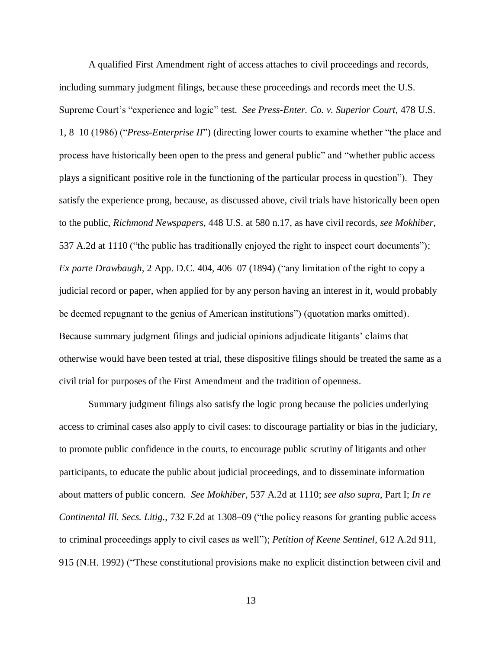A qualified First Amendment right of access attaches to civil proceedings and records, including summary judgment filings, because these proceedings and records meet the U.S. Supreme Court's "experience and logic" test. *See Press-Enter. Co. v. Superior Court*, 478 U.S. 1, 8–10 (1986) ("*Press-Enterprise II*") (directing lower courts to examine whether "the place and process have historically been open to the press and general public" and "whether public access plays a significant positive role in the functioning of the particular process in question"). They satisfy the experience prong, because, as discussed above, civil trials have historically been open to the public, *Richmond Newspapers*, 448 U.S. at 580 n.17, as have civil records, *see Mokhiber*, 537 A.2d at 1110 ("the public has traditionally enjoyed the right to inspect court documents"); *Ex parte Drawbaugh*, 2 App. D.C. 404, 406–07 (1894) ("any limitation of the right to copy a judicial record or paper, when applied for by any person having an interest in it, would probably be deemed repugnant to the genius of American institutions") (quotation marks omitted). Because summary judgment filings and judicial opinions adjudicate litigants' claims that otherwise would have been tested at trial, these dispositive filings should be treated the same as a civil trial for purposes of the First Amendment and the tradition of openness.

Summary judgment filings also satisfy the logic prong because the policies underlying access to criminal cases also apply to civil cases: to discourage partiality or bias in the judiciary, to promote public confidence in the courts, to encourage public scrutiny of litigants and other participants, to educate the public about judicial proceedings, and to disseminate information about matters of public concern. *See Mokhiber*, 537 A.2d at 1110; *see also supra*, Part I; *In re Continental Ill. Secs. Litig.*, 732 F.2d at 1308–09 ("the policy reasons for granting public access to criminal proceedings apply to civil cases as well"); *Petition of Keene Sentinel*, 612 A.2d 911, 915 (N.H. 1992) ("These constitutional provisions make no explicit distinction between civil and

13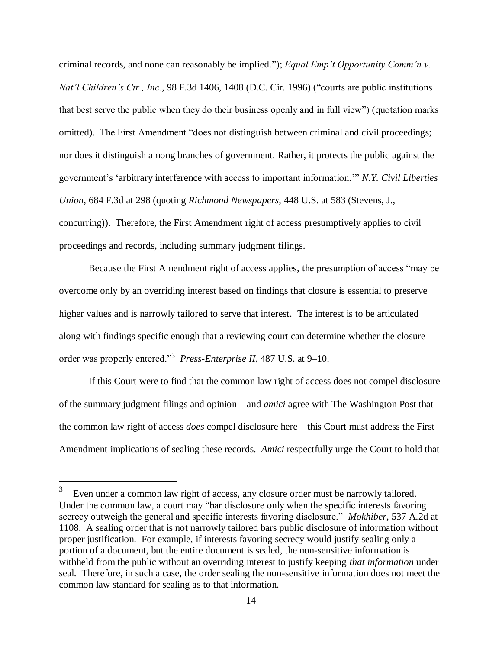criminal records, and none can reasonably be implied."); *Equal Emp't Opportunity Comm'n v. Nat'l Children's Ctr., Inc.*, 98 F.3d 1406, 1408 (D.C. Cir. 1996) ("courts are public institutions that best serve the public when they do their business openly and in full view") (quotation marks omitted).The First Amendment "does not distinguish between criminal and civil proceedings; nor does it distinguish among branches of government. Rather, it protects the public against the government's 'arbitrary interference with access to important information.'" *N.Y. Civil Liberties Union*, 684 F.3d at 298 (quoting *Richmond Newspapers*, 448 U.S. at 583 (Stevens, J., concurring)). Therefore, the First Amendment right of access presumptively applies to civil proceedings and records, including summary judgment filings.

Because the First Amendment right of access applies, the presumption of access "may be overcome only by an overriding interest based on findings that closure is essential to preserve higher values and is narrowly tailored to serve that interest. The interest is to be articulated along with findings specific enough that a reviewing court can determine whether the closure order was properly entered."<sup>3</sup> Press-Enterprise II, 487 U.S. at 9–10.

If this Court were to find that the common law right of access does not compel disclosure of the summary judgment filings and opinion—and *amici* agree with The Washington Post that the common law right of access *does* compel disclosure here—this Court must address the First Amendment implications of sealing these records. *Amici* respectfully urge the Court to hold that

 $\overline{a}$ 

<sup>3</sup> Even under a common law right of access, any closure order must be narrowly tailored. Under the common law, a court may "bar disclosure only when the specific interests favoring secrecy outweigh the general and specific interests favoring disclosure." *Mokhiber*, 537 A.2d at 1108. A sealing order that is not narrowly tailored bars public disclosure of information without proper justification. For example, if interests favoring secrecy would justify sealing only a portion of a document, but the entire document is sealed, the non-sensitive information is withheld from the public without an overriding interest to justify keeping *that information* under seal. Therefore, in such a case, the order sealing the non-sensitive information does not meet the common law standard for sealing as to that information.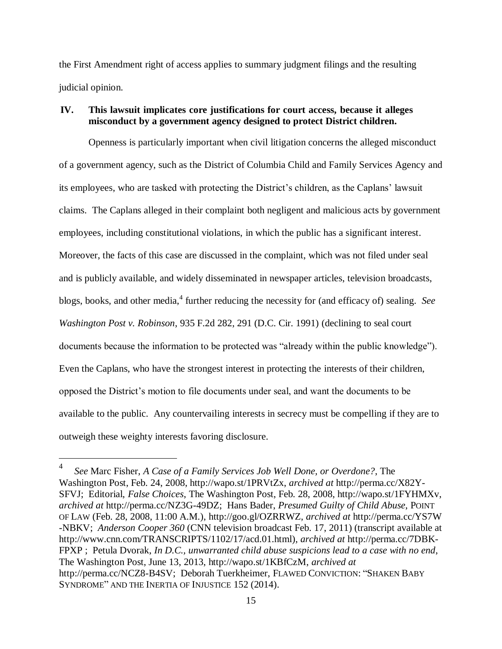the First Amendment right of access applies to summary judgment filings and the resulting judicial opinion.

# <span id="page-25-0"></span>**IV. This lawsuit implicates core justifications for court access, because it alleges misconduct by a government agency designed to protect District children.**

Openness is particularly important when civil litigation concerns the alleged misconduct of a government agency, such as the District of Columbia Child and Family Services Agency and its employees, who are tasked with protecting the District's children, as the Caplans' lawsuit claims. The Caplans alleged in their complaint both negligent and malicious acts by government employees, including constitutional violations, in which the public has a significant interest. Moreover, the facts of this case are discussed in the complaint, which was not filed under seal and is publicly available, and widely disseminated in newspaper articles, television broadcasts, blogs, books, and other media,<sup>4</sup> further reducing the necessity for (and efficacy of) sealing. See *Washington Post v. Robinson*, 935 F.2d 282, 291 (D.C. Cir. 1991) (declining to seal court documents because the information to be protected was "already within the public knowledge"). Even the Caplans, who have the strongest interest in protecting the interests of their children, opposed the District's motion to file documents under seal, and want the documents to be available to the public. Any countervailing interests in secrecy must be compelling if they are to outweigh these weighty interests favoring disclosure.

 $\overline{a}$ 

<sup>4</sup> *See* Marc Fisher, *A Case of a Family Services Job Well Done, or Overdone?*, The Washington Post, Feb. 24, 2008, http://wapo.st/1PRVtZx, *archived at* http://perma.cc/X82Y-SFVJ; Editorial, *False Choices*, The Washington Post, Feb. 28, 2008, http://wapo.st/1FYHMXv, *archived at* http://perma.cc/NZ3G-49DZ; Hans Bader, *Presumed Guilty of Child Abuse*, POINT OF LAW (Feb. 28, 2008, 11:00 A.M.), http://goo.gl/OZRRWZ, *archived at* http://perma.cc/YS7W -NBKV; *Anderson Cooper 360* (CNN television broadcast Feb. 17, 2011) (transcript available at http://www.cnn.com/TRANSCRIPTS/1102/17/acd.01.html), *archived at* http://perma.cc/7DBK-FPXP ; Petula Dvorak, *In D.C., unwarranted child abuse suspicions lead to a case with no end*, The Washington Post, June 13, 2013, http://wapo.st/1KBfCzM, *archived at* http://perma.cc/NCZ8-B4SV; Deborah Tuerkheimer, FLAWED CONVICTION: "SHAKEN BABY SYNDROME" AND THE INERTIA OF INJUSTICE 152 (2014).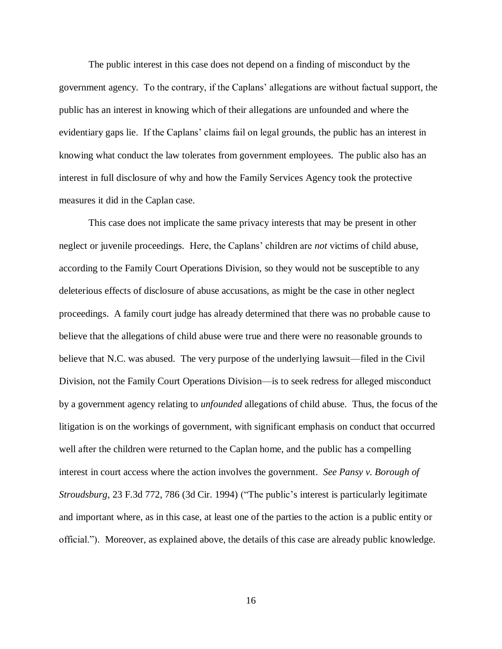The public interest in this case does not depend on a finding of misconduct by the government agency. To the contrary, if the Caplans' allegations are without factual support, the public has an interest in knowing which of their allegations are unfounded and where the evidentiary gaps lie. If the Caplans' claims fail on legal grounds, the public has an interest in knowing what conduct the law tolerates from government employees. The public also has an interest in full disclosure of why and how the Family Services Agency took the protective measures it did in the Caplan case.

This case does not implicate the same privacy interests that may be present in other neglect or juvenile proceedings. Here, the Caplans' children are *not* victims of child abuse, according to the Family Court Operations Division, so they would not be susceptible to any deleterious effects of disclosure of abuse accusations, as might be the case in other neglect proceedings. A family court judge has already determined that there was no probable cause to believe that the allegations of child abuse were true and there were no reasonable grounds to believe that N.C. was abused. The very purpose of the underlying lawsuit—filed in the Civil Division, not the Family Court Operations Division—is to seek redress for alleged misconduct by a government agency relating to *unfounded* allegations of child abuse. Thus, the focus of the litigation is on the workings of government, with significant emphasis on conduct that occurred well after the children were returned to the Caplan home, and the public has a compelling interest in court access where the action involves the government. *See Pansy v. Borough of Stroudsburg*, 23 F.3d 772, 786 (3d Cir. 1994) ("The public's interest is particularly legitimate and important where, as in this case, at least one of the parties to the action is a public entity or official."). Moreover, as explained above, the details of this case are already public knowledge.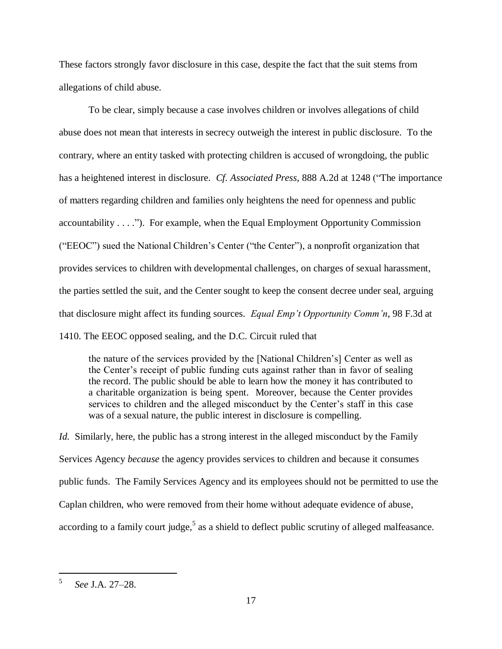These factors strongly favor disclosure in this case, despite the fact that the suit stems from allegations of child abuse.

To be clear, simply because a case involves children or involves allegations of child abuse does not mean that interests in secrecy outweigh the interest in public disclosure. To the contrary, where an entity tasked with protecting children is accused of wrongdoing, the public has a heightened interest in disclosure. *Cf. Associated Press*, 888 A.2d at 1248 ("The importance of matters regarding children and families only heightens the need for openness and public accountability . . . ."). For example, when the Equal Employment Opportunity Commission ("EEOC") sued the National Children's Center ("the Center"), a nonprofit organization that provides services to children with developmental challenges, on charges of sexual harassment, the parties settled the suit, and the Center sought to keep the consent decree under seal, arguing that disclosure might affect its funding sources. *Equal Emp't Opportunity Comm'n*, 98 F.3d at 1410. The EEOC opposed sealing, and the D.C. Circuit ruled that

the nature of the services provided by the [National Children's] Center as well as the Center's receipt of public funding cuts against rather than in favor of sealing the record. The public should be able to learn how the money it has contributed to a charitable organization is being spent. Moreover, because the Center provides services to children and the alleged misconduct by the Center's staff in this case was of a sexual nature, the public interest in disclosure is compelling.

*Id.* Similarly, here, the public has a strong interest in the alleged misconduct by the Family Services Agency *because* the agency provides services to children and because it consumes public funds. The Family Services Agency and its employees should not be permitted to use the Caplan children, who were removed from their home without adequate evidence of abuse, according to a family court judge,<sup>5</sup> as a shield to deflect public scrutiny of alleged malfeasance.

 5 *See* J.A. 27–28.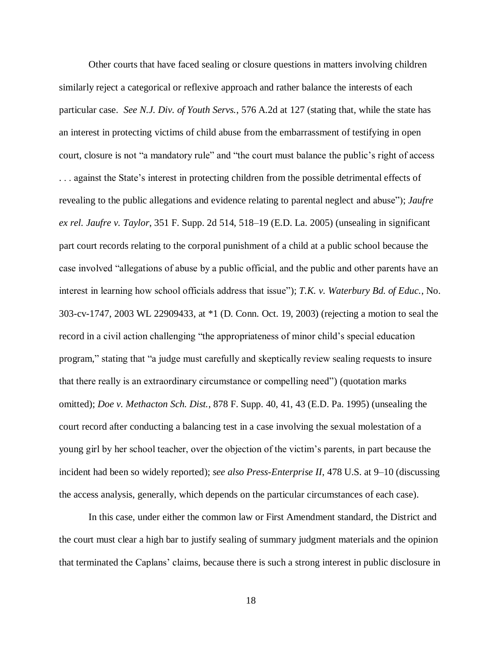Other courts that have faced sealing or closure questions in matters involving children similarly reject a categorical or reflexive approach and rather balance the interests of each particular case. *See N.J. Div. of Youth Servs.*, 576 A.2d at 127 (stating that, while the state has an interest in protecting victims of child abuse from the embarrassment of testifying in open court, closure is not "a mandatory rule" and "the court must balance the public's right of access . . . against the State's interest in protecting children from the possible detrimental effects of revealing to the public allegations and evidence relating to parental neglect and abuse"); *Jaufre ex rel. Jaufre v. Taylor*, 351 F. Supp. 2d 514, 518–19 (E.D. La. 2005) (unsealing in significant part court records relating to the corporal punishment of a child at a public school because the case involved "allegations of abuse by a public official, and the public and other parents have an interest in learning how school officials address that issue"); *T.K. v. Waterbury Bd. of Educ.*, No. 303-cv-1747, 2003 WL 22909433, at \*1 (D. Conn. Oct. 19, 2003) (rejecting a motion to seal the record in a civil action challenging "the appropriateness of minor child's special education program," stating that "a judge must carefully and skeptically review sealing requests to insure that there really is an extraordinary circumstance or compelling need") (quotation marks omitted); *Doe v. Methacton Sch. Dist.*, 878 F. Supp. 40, 41, 43 (E.D. Pa. 1995) (unsealing the court record after conducting a balancing test in a case involving the sexual molestation of a young girl by her school teacher, over the objection of the victim's parents, in part because the incident had been so widely reported); *see also Press-Enterprise II*, 478 U.S. at 9–10 (discussing the access analysis, generally, which depends on the particular circumstances of each case).

In this case, under either the common law or First Amendment standard, the District and the court must clear a high bar to justify sealing of summary judgment materials and the opinion that terminated the Caplans' claims, because there is such a strong interest in public disclosure in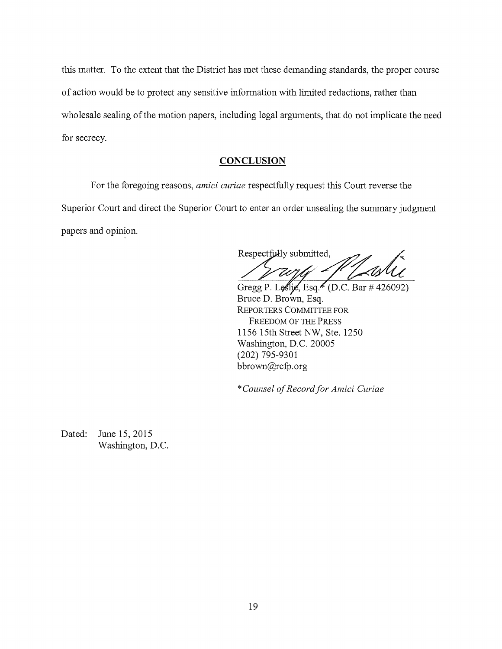this matter. To the extent that the District has met these demanding standards, the proper course of action would be to protect any sensitive information with limited redactions, rather than wholesale sealing of the motion papers, including legal arguments, that do not implicate the need for secrecy.

### **CONCLUSION**

For the foregoing reasons, *amici curiae* respectfully request this Court reverse the Superior Court and direct the Superior Court to enter an order unsealing the summary judgment papers and opinion.

Respectfully submitted,

Gregg P. Loslic, Esq. (D.C. Bar # 426092) Bruce D. Brown, Esq. REPORTERS COMMITTEE FOR FREEDOM OF THE PRESS 1156 15th Street NW, Ste. 1250 Washington, D.C. 20005 (202) 795-9301 bbrown@rcfp.org

\* *Counsel of Record for Amici Curiae* 

Dated: June 15, 2015 Washington, D.C.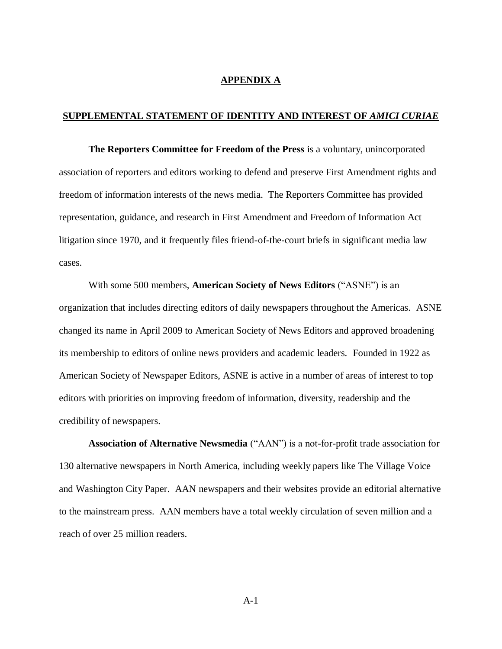#### **APPENDIX A**

#### <span id="page-30-0"></span>**SUPPLEMENTAL STATEMENT OF IDENTITY AND INTEREST OF** *AMICI CURIAE*

**The Reporters Committee for Freedom of the Press** is a voluntary, unincorporated association of reporters and editors working to defend and preserve First Amendment rights and freedom of information interests of the news media. The Reporters Committee has provided representation, guidance, and research in First Amendment and Freedom of Information Act litigation since 1970, and it frequently files friend-of-the-court briefs in significant media law cases.

With some 500 members, **American Society of News Editors** ("ASNE") is an organization that includes directing editors of daily newspapers throughout the Americas. ASNE changed its name in April 2009 to American Society of News Editors and approved broadening its membership to editors of online news providers and academic leaders. Founded in 1922 as American Society of Newspaper Editors, ASNE is active in a number of areas of interest to top editors with priorities on improving freedom of information, diversity, readership and the credibility of newspapers.

**Association of Alternative Newsmedia** ("AAN") is a not-for-profit trade association for 130 alternative newspapers in North America, including weekly papers like The Village Voice and Washington City Paper. AAN newspapers and their websites provide an editorial alternative to the mainstream press. AAN members have a total weekly circulation of seven million and a reach of over 25 million readers.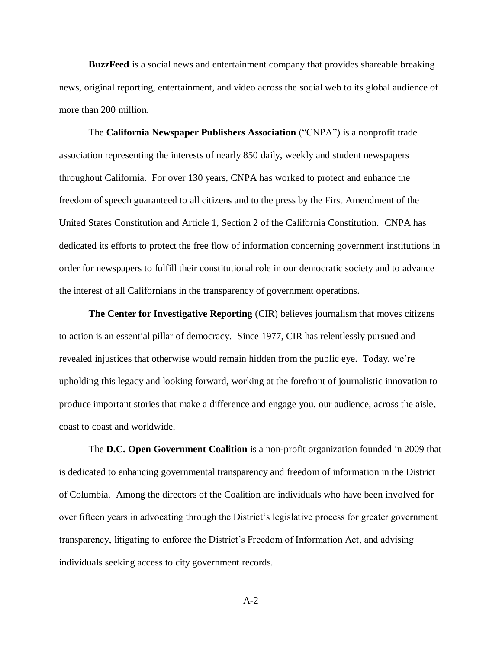**BuzzFeed** is a social news and entertainment company that provides shareable breaking news, original reporting, entertainment, and video across the social web to its global audience of more than 200 million.

The **California Newspaper Publishers Association** ("CNPA") is a nonprofit trade association representing the interests of nearly 850 daily, weekly and student newspapers throughout California. For over 130 years, CNPA has worked to protect and enhance the freedom of speech guaranteed to all citizens and to the press by the First Amendment of the United States Constitution and Article 1, Section 2 of the California Constitution. CNPA has dedicated its efforts to protect the free flow of information concerning government institutions in order for newspapers to fulfill their constitutional role in our democratic society and to advance the interest of all Californians in the transparency of government operations.

**The Center for Investigative Reporting** (CIR) believes journalism that moves citizens to action is an essential pillar of democracy. Since 1977, CIR has relentlessly pursued and revealed injustices that otherwise would remain hidden from the public eye. Today, we're upholding this legacy and looking forward, working at the forefront of journalistic innovation to produce important stories that make a difference and engage you, our audience, across the aisle, coast to coast and worldwide.

The **D.C. Open Government Coalition** is a non-profit organization founded in 2009 that is dedicated to enhancing governmental transparency and freedom of information in the District of Columbia. Among the directors of the Coalition are individuals who have been involved for over fifteen years in advocating through the District's legislative process for greater government transparency, litigating to enforce the District's Freedom of Information Act, and advising individuals seeking access to city government records.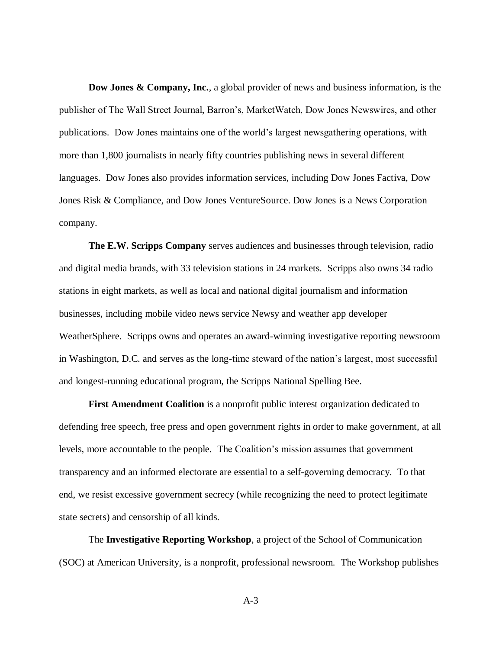**Dow Jones & Company, Inc.**, a global provider of news and business information, is the publisher of The Wall Street Journal, Barron's, MarketWatch, Dow Jones Newswires, and other publications. Dow Jones maintains one of the world's largest newsgathering operations, with more than 1,800 journalists in nearly fifty countries publishing news in several different languages. Dow Jones also provides information services, including Dow Jones Factiva, Dow Jones Risk & Compliance, and Dow Jones VentureSource. Dow Jones is a News Corporation company.

**The E.W. Scripps Company** serves audiences and businesses through television, radio and digital media brands, with 33 television stations in 24 markets. Scripps also owns 34 radio stations in eight markets, as well as local and national digital journalism and information businesses, including mobile video news service Newsy and weather app developer WeatherSphere. Scripps owns and operates an award-winning investigative reporting newsroom in Washington, D.C. and serves as the long-time steward of the nation's largest, most successful and longest-running educational program, the Scripps National Spelling Bee.

**First Amendment Coalition** is a nonprofit public interest organization dedicated to defending free speech, free press and open government rights in order to make government, at all levels, more accountable to the people. The Coalition's mission assumes that government transparency and an informed electorate are essential to a self-governing democracy. To that end, we resist excessive government secrecy (while recognizing the need to protect legitimate state secrets) and censorship of all kinds.

The **Investigative Reporting Workshop**, a project of the School of Communication (SOC) at American University, is a nonprofit, professional newsroom. The Workshop publishes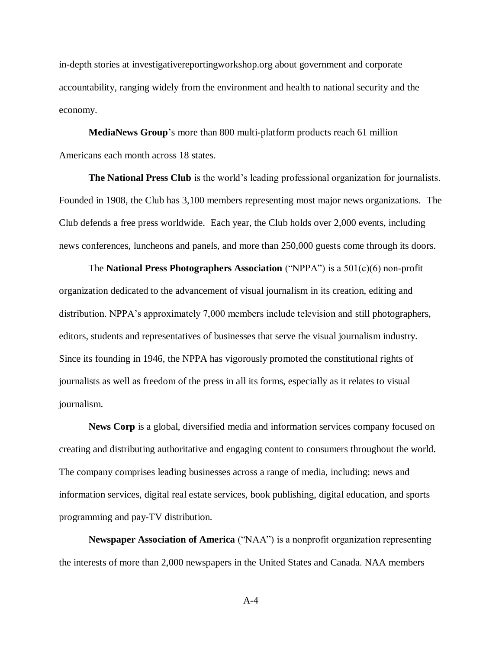in-depth stories at investigativereportingworkshop.org about government and corporate accountability, ranging widely from the environment and health to national security and the economy.

**MediaNews Group**'s more than 800 multi-platform products reach 61 million Americans each month across 18 states.

**The National Press Club** is the world's leading professional organization for journalists. Founded in 1908, the Club has 3,100 members representing most major news organizations. The Club defends a free press worldwide. Each year, the Club holds over 2,000 events, including news conferences, luncheons and panels, and more than 250,000 guests come through its doors.

The **National Press Photographers Association** ("NPPA") is a 501(c)(6) non-profit organization dedicated to the advancement of visual journalism in its creation, editing and distribution. NPPA's approximately 7,000 members include television and still photographers, editors, students and representatives of businesses that serve the visual journalism industry. Since its founding in 1946, the NPPA has vigorously promoted the constitutional rights of journalists as well as freedom of the press in all its forms, especially as it relates to visual journalism.

**News Corp** is a global, diversified media and information services company focused on creating and distributing authoritative and engaging content to consumers throughout the world. The company comprises leading businesses across a range of media, including: news and information services, digital real estate services, book publishing, digital education, and sports programming and pay-TV distribution.

**Newspaper Association of America** ("NAA") is a nonprofit organization representing the interests of more than 2,000 newspapers in the United States and Canada. NAA members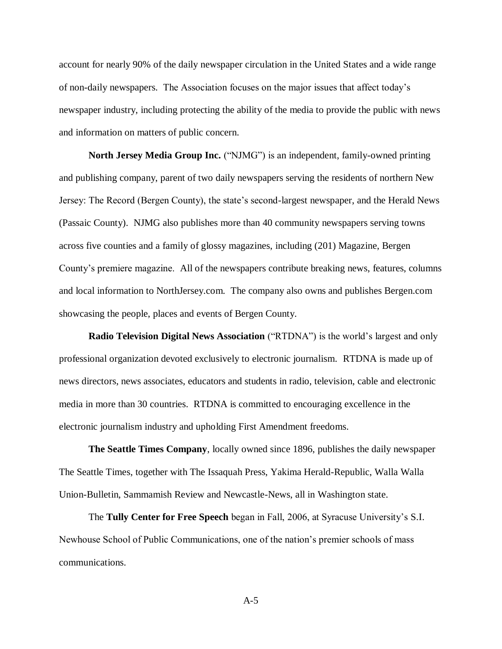account for nearly 90% of the daily newspaper circulation in the United States and a wide range of non-daily newspapers. The Association focuses on the major issues that affect today's newspaper industry, including protecting the ability of the media to provide the public with news and information on matters of public concern.

**North Jersey Media Group Inc.** ("NJMG") is an independent, family-owned printing and publishing company, parent of two daily newspapers serving the residents of northern New Jersey: The Record (Bergen County), the state's second-largest newspaper, and the Herald News (Passaic County). NJMG also publishes more than 40 community newspapers serving towns across five counties and a family of glossy magazines, including (201) Magazine, Bergen County's premiere magazine. All of the newspapers contribute breaking news, features, columns and local information to NorthJersey.com. The company also owns and publishes Bergen.com showcasing the people, places and events of Bergen County.

**Radio Television Digital News Association** ("RTDNA") is the world's largest and only professional organization devoted exclusively to electronic journalism. RTDNA is made up of news directors, news associates, educators and students in radio, television, cable and electronic media in more than 30 countries. RTDNA is committed to encouraging excellence in the electronic journalism industry and upholding First Amendment freedoms.

**The Seattle Times Company**, locally owned since 1896, publishes the daily newspaper The Seattle Times, together with The Issaquah Press, Yakima Herald-Republic, Walla Walla Union-Bulletin, Sammamish Review and Newcastle-News, all in Washington state.

The **Tully Center for Free Speech** began in Fall, 2006, at Syracuse University's S.I. Newhouse School of Public Communications, one of the nation's premier schools of mass communications.